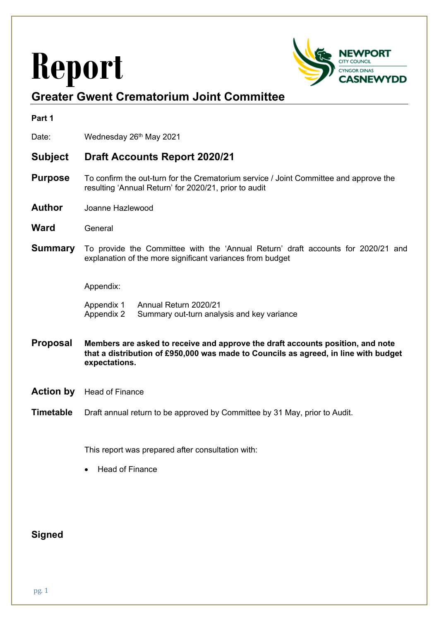# **Report**



# **Greater Gwent Crematorium Joint Committee**

| Part 1           |                                                                                                                                                                                        |
|------------------|----------------------------------------------------------------------------------------------------------------------------------------------------------------------------------------|
| Date:            | Wednesday 26th May 2021                                                                                                                                                                |
| <b>Subject</b>   | <b>Draft Accounts Report 2020/21</b>                                                                                                                                                   |
| <b>Purpose</b>   | To confirm the out-turn for the Crematorium service / Joint Committee and approve the<br>resulting 'Annual Return' for 2020/21, prior to audit                                         |
| <b>Author</b>    | Joanne Hazlewood                                                                                                                                                                       |
| <b>Ward</b>      | General                                                                                                                                                                                |
| <b>Summary</b>   | To provide the Committee with the 'Annual Return' draft accounts for 2020/21 and<br>explanation of the more significant variances from budget                                          |
|                  | Appendix:                                                                                                                                                                              |
|                  | Annual Return 2020/21<br>Appendix 1<br>Appendix 2<br>Summary out-turn analysis and key variance                                                                                        |
| <b>Proposal</b>  | Members are asked to receive and approve the draft accounts position, and note<br>that a distribution of £950,000 was made to Councils as agreed, in line with budget<br>expectations. |
| <b>Action by</b> | <b>Head of Finance</b>                                                                                                                                                                 |
| <b>Timetable</b> | Draft annual return to be approved by Committee by 31 May, prior to Audit.                                                                                                             |
|                  | This report was prepared after consultation with:                                                                                                                                      |
|                  | <b>Head of Finance</b>                                                                                                                                                                 |
|                  |                                                                                                                                                                                        |
|                  |                                                                                                                                                                                        |

# **Signed**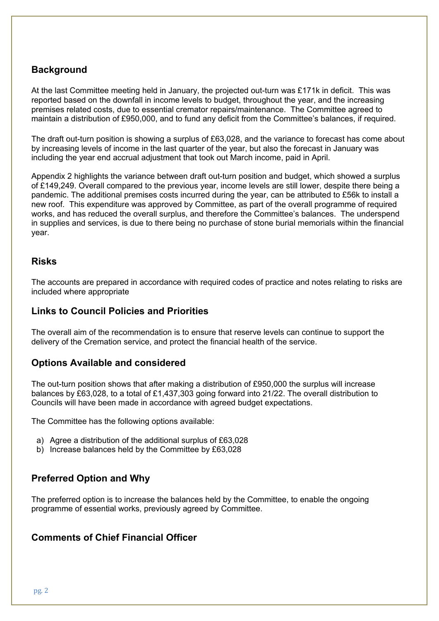# **Background**

At the last Committee meeting held in January, the projected out-turn was £171k in deficit. This was reported based on the downfall in income levels to budget, throughout the year, and the increasing premises related costs, due to essential cremator repairs/maintenance. The Committee agreed to maintain a distribution of £950,000, and to fund any deficit from the Committee's balances, if required.

The draft out-turn position is showing a surplus of £63,028, and the variance to forecast has come about by increasing levels of income in the last quarter of the year, but also the forecast in January was including the year end accrual adjustment that took out March income, paid in April.

Appendix 2 highlights the variance between draft out-turn position and budget, which showed a surplus of £149,249. Overall compared to the previous year, income levels are still lower, despite there being a pandemic. The additional premises costs incurred during the year, can be attributed to £56k to install a new roof. This expenditure was approved by Committee, as part of the overall programme of required works, and has reduced the overall surplus, and therefore the Committee's balances. The underspend in supplies and services, is due to there being no purchase of stone burial memorials within the financial year.

## **Risks**

The accounts are prepared in accordance with required codes of practice and notes relating to risks are included where appropriate

## **Links to Council Policies and Priorities**

The overall aim of the recommendation is to ensure that reserve levels can continue to support the delivery of the Cremation service, and protect the financial health of the service.

## **Options Available and considered**

The out-turn position shows that after making a distribution of £950,000 the surplus will increase balances by £63,028, to a total of £1,437,303 going forward into 21/22. The overall distribution to Councils will have been made in accordance with agreed budget expectations.

The Committee has the following options available:

- a) Agree a distribution of the additional surplus of £63,028
- b) Increase balances held by the Committee by £63,028

# **Preferred Option and Why**

The preferred option is to increase the balances held by the Committee, to enable the ongoing programme of essential works, previously agreed by Committee.

# **Comments of Chief Financial Officer**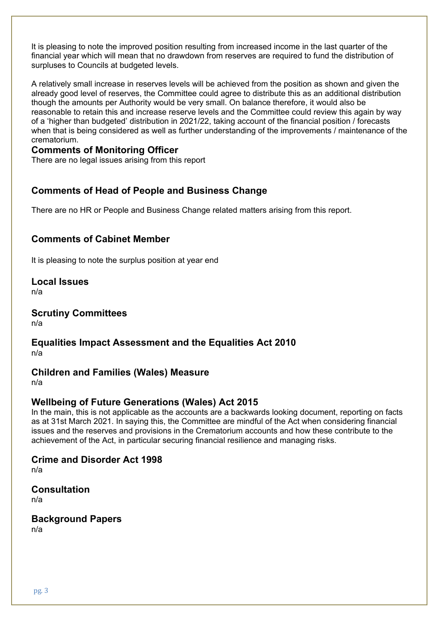It is pleasing to note the improved position resulting from increased income in the last quarter of the financial year which will mean that no drawdown from reserves are required to fund the distribution of surpluses to Councils at budgeted levels.

A relatively small increase in reserves levels will be achieved from the position as shown and given the already good level of reserves, the Committee could agree to distribute this as an additional distribution though the amounts per Authority would be very small. On balance therefore, it would also be reasonable to retain this and increase reserve levels and the Committee could review this again by way of a 'higher than budgeted' distribution in 2021/22, taking account of the financial position / forecasts when that is being considered as well as further understanding of the improvements / maintenance of the crematorium.

# **Comments of Monitoring Officer**

There are no legal issues arising from this report

# **Comments of Head of People and Business Change**

There are no HR or People and Business Change related matters arising from this report.

# **Comments of Cabinet Member**

It is pleasing to note the surplus position at year end

**Local Issues**

n/a

# **Scrutiny Committees**

n/a

### **Equalities Impact Assessment and the Equalities Act 2010** n/a

## **Children and Families (Wales) Measure**

n/a

## **Wellbeing of Future Generations (Wales) Act 2015**

In the main, this is not applicable as the accounts are a backwards looking document, reporting on facts as at 31st March 2021. In saying this, the Committee are mindful of the Act when considering financial issues and the reserves and provisions in the Crematorium accounts and how these contribute to the achievement of the Act, in particular securing financial resilience and managing risks.

# **Crime and Disorder Act 1998**

n/a

#### **Consultation** n/a

**Background Papers**

n/a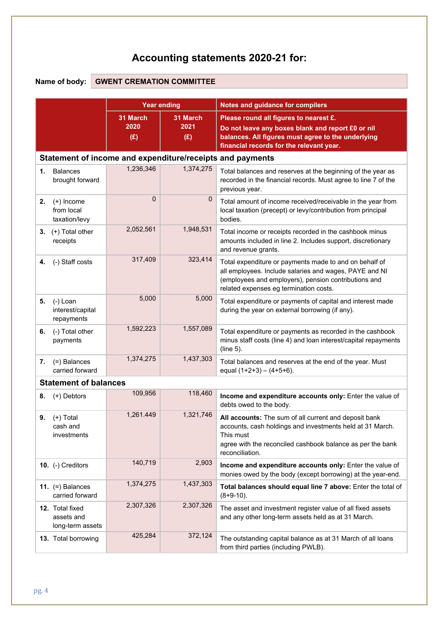# **Accounting statements 2020-21 for:**

# **Name of body: GWENT CREMATION COMMITTEE**

|                                                           | <b>Year ending</b>      |                         | Notes and guidance for compilers                                                                                                                                                                                   |  |  |  |
|-----------------------------------------------------------|-------------------------|-------------------------|--------------------------------------------------------------------------------------------------------------------------------------------------------------------------------------------------------------------|--|--|--|
|                                                           | 31 March<br>2020<br>(E) | 31 March<br>2021<br>(E) | Please round all figures to nearest £.<br>Do not leave any boxes blank and report £0 or nil<br>balances. All figures must agree to the underlying<br>financial records for the relevant year.                      |  |  |  |
| Statement of income and expenditure/receipts and payments |                         |                         |                                                                                                                                                                                                                    |  |  |  |
| <b>Balances</b><br>1.<br>brought forward                  | 1,236,346               | 1,374,275               | Total balances and reserves at the beginning of the year as<br>recorded in the financial records. Must agree to line 7 of the<br>previous year.                                                                    |  |  |  |
| $(+)$ Income<br>2.<br>from local<br>taxation/levy         | $\Omega$                | $\mathbf 0$             | Total amount of income received/receivable in the year from<br>local taxation (precept) or levy/contribution from principal<br>bodies.                                                                             |  |  |  |
| 3. $(+)$ Total other<br>receipts                          | 2,052,561               | 1,948,531               | Total income or receipts recorded in the cashbook minus<br>amounts included in line 2. Includes support, discretionary<br>and revenue grants.                                                                      |  |  |  |
| (-) Staff costs<br>4.                                     | 317,409                 | 323,414                 | Total expenditure or payments made to and on behalf of<br>all employees. Include salaries and wages, PAYE and NI<br>(employees and employers), pension contributions and<br>related expenses eg termination costs. |  |  |  |
| (-) Loan<br>5.<br>interest/capital<br>repayments          | 5,000                   | 5,000                   | Total expenditure or payments of capital and interest made<br>during the year on external borrowing (if any).                                                                                                      |  |  |  |
| (-) Total other<br>6.<br>payments                         | 1,592,223               | 1,557,089               | Total expenditure or payments as recorded in the cashbook<br>minus staff costs (line 4) and loan interest/capital repayments<br>(line 5).                                                                          |  |  |  |
| (=) Balances<br>7.<br>carried forward                     | 1,374,275               | 1,437,303               | Total balances and reserves at the end of the year. Must<br>equal $(1+2+3) - (4+5+6)$ .                                                                                                                            |  |  |  |
| <b>Statement of balances</b>                              |                         |                         |                                                                                                                                                                                                                    |  |  |  |
| 8.<br>(+) Debtors                                         | 109,956                 | 118,460                 | Income and expenditure accounts only: Enter the value of<br>debts owed to the body.                                                                                                                                |  |  |  |
| $(+)$ Total<br>9.<br>cash and<br>investments              | 1,261.449               | 1,321,746               | All accounts: The sum of all current and deposit bank<br>accounts, cash holdings and investments held at 31 March.<br>This must<br>agree with the reconciled cashbook balance as per the bank<br>reconciliation.   |  |  |  |
| 10. (-) Creditors                                         | 140,719                 | 2,903                   | Income and expenditure accounts only: Enter the value of<br>monies owed by the body (except borrowing) at the year-end.                                                                                            |  |  |  |
| 11. $(=)$ Balances<br>carried forward                     | 1,374,275               | 1,437,303               | Total balances should equal line 7 above: Enter the total of<br>$(8+9-10)$ .                                                                                                                                       |  |  |  |
| 12. Total fixed<br>assets and<br>long-term assets         | 2,307,326               | 2,307,326               | The asset and investment register value of all fixed assets<br>and any other long-term assets held as at 31 March.                                                                                                 |  |  |  |
| 13. Total borrowing                                       | 425,284                 | 372,124                 | The outstanding capital balance as at 31 March of all loans<br>from third parties (including PWLB).                                                                                                                |  |  |  |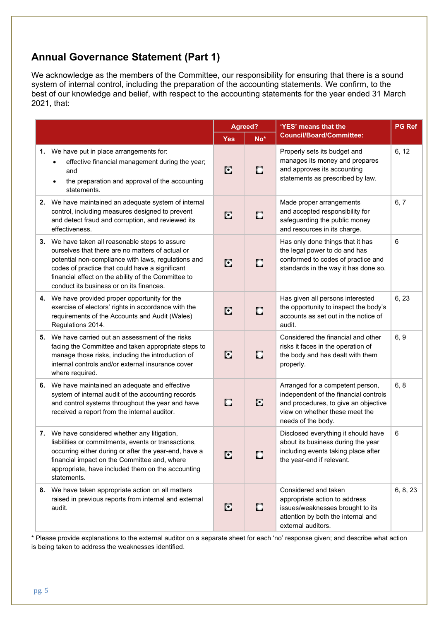# **Annual Governance Statement (Part 1)**

We acknowledge as the members of the Committee, our responsibility for ensuring that there is a sound system of internal control, including the preparation of the accounting statements. We confirm, to the best of our knowledge and belief, with respect to the accounting statements for the year ended 31 March 2021, that:

|                                                                                                                                                                                                                                                                                                                  |            | Agreed? | 'YES' means that the                                                                                                                                                      | <b>PG Ref</b> |
|------------------------------------------------------------------------------------------------------------------------------------------------------------------------------------------------------------------------------------------------------------------------------------------------------------------|------------|---------|---------------------------------------------------------------------------------------------------------------------------------------------------------------------------|---------------|
|                                                                                                                                                                                                                                                                                                                  | <b>Yes</b> | No*     | <b>Council/Board/Committee:</b>                                                                                                                                           |               |
| 1. We have put in place arrangements for:<br>effective financial management during the year;<br>and<br>the preparation and approval of the accounting<br>statements.                                                                                                                                             | C          | о       | Properly sets its budget and<br>manages its money and prepares<br>and approves its accounting<br>statements as prescribed by law.                                         | 6, 12         |
| 2. We have maintained an adequate system of internal<br>control, including measures designed to prevent<br>and detect fraud and corruption, and reviewed its<br>effectiveness.                                                                                                                                   | C          | С       | Made proper arrangements<br>and accepted responsibility for<br>safeguarding the public money<br>and resources in its charge.                                              | 6, 7          |
| 3. We have taken all reasonable steps to assure<br>ourselves that there are no matters of actual or<br>potential non-compliance with laws, regulations and<br>codes of practice that could have a significant<br>financial effect on the ability of the Committee to<br>conduct its business or on its finances. | C          | $\Box$  | Has only done things that it has<br>the legal power to do and has<br>conformed to codes of practice and<br>standards in the way it has done so.                           | 6             |
| 4. We have provided proper opportunity for the<br>exercise of electors' rights in accordance with the<br>requirements of the Accounts and Audit (Wales)<br>Regulations 2014.                                                                                                                                     | C          | C       | Has given all persons interested<br>the opportunity to inspect the body's<br>accounts as set out in the notice of<br>audit.                                               | 6, 23         |
| 5. We have carried out an assessment of the risks<br>facing the Committee and taken appropriate steps to<br>manage those risks, including the introduction of<br>internal controls and/or external insurance cover<br>where required.                                                                            | C          | С       | Considered the financial and other<br>risks it faces in the operation of<br>the body and has dealt with them<br>properly.                                                 | 6, 9          |
| 6. We have maintained an adequate and effective<br>system of internal audit of the accounting records<br>and control systems throughout the year and have<br>received a report from the internal auditor.                                                                                                        | C          | C       | Arranged for a competent person,<br>independent of the financial controls<br>and procedures, to give an objective<br>view on whether these meet the<br>needs of the body. | 6, 8          |
| 7. We have considered whether any litigation,<br>liabilities or commitments, events or transactions,<br>occurring either during or after the year-end, have a<br>financial impact on the Committee and, where<br>appropriate, have included them on the accounting<br>statements.                                | C          | О       | Disclosed everything it should have<br>about its business during the year<br>including events taking place after<br>the year-end if relevant.                             | 6             |
| 8. We have taken appropriate action on all matters<br>raised in previous reports from internal and external<br>audit.                                                                                                                                                                                            | C          | C       | Considered and taken<br>appropriate action to address<br>issues/weaknesses brought to its<br>attention by both the internal and<br>external auditors.                     | 6, 8, 23      |

\* Please provide explanations to the external auditor on a separate sheet for each 'no' response given; and describe what action is being taken to address the weaknesses identified.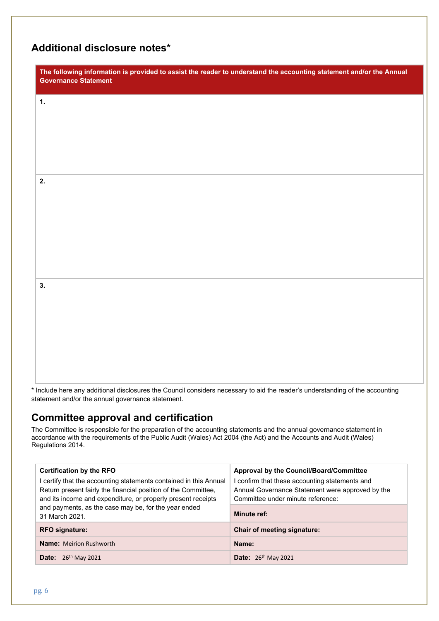# **Additional disclosure notes\***

| The following information is provided to assist the reader to understand the accounting statement and/or the Annual<br><b>Governance Statement</b> |
|----------------------------------------------------------------------------------------------------------------------------------------------------|
| $\mathbf{1}$ .                                                                                                                                     |
|                                                                                                                                                    |
|                                                                                                                                                    |
| 2.                                                                                                                                                 |
|                                                                                                                                                    |
|                                                                                                                                                    |
|                                                                                                                                                    |
| 3.                                                                                                                                                 |
|                                                                                                                                                    |
|                                                                                                                                                    |
|                                                                                                                                                    |

\* Include here any additional disclosures the Council considers necessary to aid the reader's understanding of the accounting statement and/or the annual governance statement.

# **Committee approval and certification**

The Committee is responsible for the preparation of the accounting statements and the annual governance statement in accordance with the requirements of the Public Audit (Wales) Act 2004 (the Act) and the Accounts and Audit (Wales) Regulations 2014.

| <b>Certification by the RFO</b>                                                                                                                                                                   | Approval by the Council/Board/Committee                                                                                                 |  |
|---------------------------------------------------------------------------------------------------------------------------------------------------------------------------------------------------|-----------------------------------------------------------------------------------------------------------------------------------------|--|
| certify that the accounting statements contained in this Annual<br>Return present fairly the financial position of the Committee,<br>and its income and expenditure, or properly present receipts | I confirm that these accounting statements and<br>Annual Governance Statement were approved by the<br>Committee under minute reference: |  |
| and payments, as the case may be, for the year ended<br>31 March 2021.                                                                                                                            | <b>Minute ref:</b>                                                                                                                      |  |
| <b>RFO signature:</b>                                                                                                                                                                             | <b>Chair of meeting signature:</b>                                                                                                      |  |
| <b>Name:</b> Meirion Rushworth                                                                                                                                                                    | Name:                                                                                                                                   |  |
| <b>Date:</b> $26^{th}$ May 2021                                                                                                                                                                   | <b>Date:</b> $26^{th}$ May 2021                                                                                                         |  |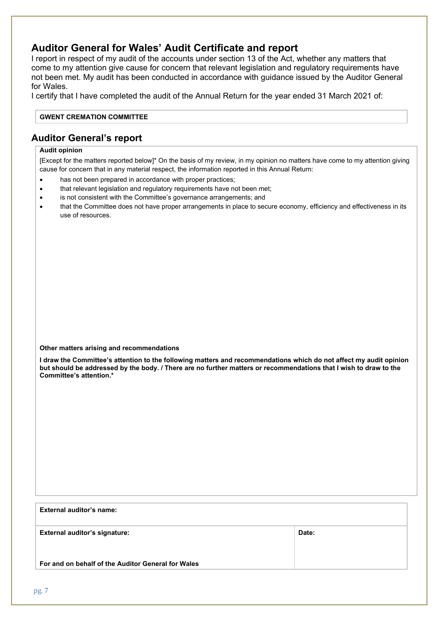# **Auditor General for Wales' Audit Certificate and report**

I report in respect of my audit of the accounts under section 13 of the Act, whether any matters that come to my attention give cause for concern that relevant legislation and regulatory requirements have not been met. My audit has been conducted in accordance with guidance issued by the Auditor General for Wales.

I certify that I have completed the audit of the Annual Return for the year ended 31 March 2021 of:

#### **GWENT CREMATION COMMITTEE**

## **Auditor General's report**

#### **Audit opinion**

[Except for the matters reported below]\* On the basis of my review, in my opinion no matters have come to my attention giving cause for concern that in any material respect, the information reported in this Annual Return:

- has not been prepared in accordance with proper practices;
- that relevant legislation and regulatory requirements have not been met;
- is not consistent with the Committee's governance arrangements; and
- that the Committee does not have proper arrangements in place to secure economy, efficiency and effectiveness in its use of resources.

#### **Other matters arising and recommendations**

I draw the Committee's attention to the following matters and recommendations which do not affect my audit opinion but should be addressed by the body. / There are no further matters or recommendations that I wish to draw to the **Committee's attention.\***

| External auditor's name:                           |       |  |
|----------------------------------------------------|-------|--|
| <b>External auditor's signature:</b>               | Date: |  |
| For and on behalf of the Auditor General for Wales |       |  |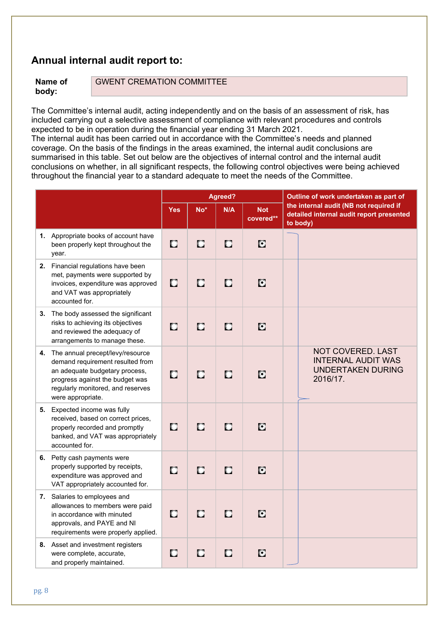# **Annual internal audit report to:**

**Name of body:**

GWENT CREMATION COMMITTEE

The Committee's internal audit, acting independently and on the basis of an assessment of risk, has included carrying out a selective assessment of compliance with relevant procedures and controls expected to be in operation during the financial year ending 31 March 2021.

The internal audit has been carried out in accordance with the Committee's needs and planned coverage. On the basis of the findings in the areas examined, the internal audit conclusions are summarised in this table. Set out below are the objectives of internal control and the internal audit conclusions on whether, in all significant respects, the following control objectives were being achieved throughout the financial year to a standard adequate to meet the needs of the Committee.

|    |                                                                                                                                                                                                     | Agreed?    |        |        |                         | Outline of work undertaken as part of |                                                                                                |
|----|-----------------------------------------------------------------------------------------------------------------------------------------------------------------------------------------------------|------------|--------|--------|-------------------------|---------------------------------------|------------------------------------------------------------------------------------------------|
|    |                                                                                                                                                                                                     | <b>Yes</b> | No*    | N/A    | <b>Not</b><br>covered** |                                       | the internal audit (NB not required if<br>detailed internal audit report presented<br>to body) |
|    | 1. Appropriate books of account have<br>been properly kept throughout the<br>year.                                                                                                                  | D          | $\Box$ | $\Box$ | C                       |                                       |                                                                                                |
|    | 2. Financial regulations have been<br>met, payments were supported by<br>invoices, expenditure was approved<br>and VAT was appropriately<br>accounted for.                                          | C          | $\Box$ | $\Box$ | C                       |                                       |                                                                                                |
| 3. | The body assessed the significant<br>risks to achieving its objectives<br>and reviewed the adequacy of<br>arrangements to manage these.                                                             | $\Box$     | о      | О      | C                       |                                       |                                                                                                |
| 4. | The annual precept/levy/resource<br>demand requirement resulted from<br>an adequate budgetary process,<br>progress against the budget was<br>regularly monitored, and reserves<br>were appropriate. | $\Box$     | $\Box$ | $\Box$ | C                       |                                       | NOT COVERED. LAST<br><b>INTERNAL AUDIT WAS</b><br><b>UNDERTAKEN DURING</b><br>2016/17.         |
| 5. | Expected income was fully<br>received, based on correct prices,<br>properly recorded and promptly<br>banked, and VAT was appropriately<br>accounted for.                                            | $\Box$     | П      | $\Box$ | C                       |                                       |                                                                                                |
|    | 6. Petty cash payments were<br>properly supported by receipts,<br>expenditure was approved and<br>VAT appropriately accounted for.                                                                  | $\Box$     | O      | O      | C                       |                                       |                                                                                                |
| 7. | Salaries to employees and<br>allowances to members were paid<br>in accordance with minuted<br>approvals, and PAYE and NI<br>requirements were properly applied.                                     | $\Box$     | $\Box$ | $\Box$ | C                       |                                       |                                                                                                |
|    | 8. Asset and investment registers<br>were complete, accurate,<br>and properly maintained.                                                                                                           | о          | O      | O      | C                       |                                       |                                                                                                |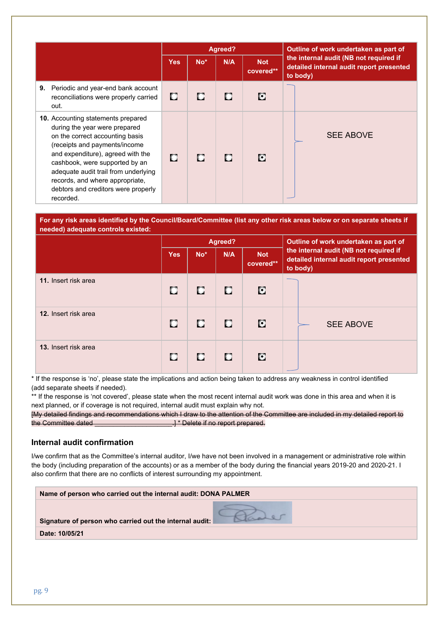|                                                                                                                                                                                                                                                                                                                                               | Agreed?    |       |     |                         | Outline of work undertaken as part of                                                          |  |
|-----------------------------------------------------------------------------------------------------------------------------------------------------------------------------------------------------------------------------------------------------------------------------------------------------------------------------------------------|------------|-------|-----|-------------------------|------------------------------------------------------------------------------------------------|--|
|                                                                                                                                                                                                                                                                                                                                               | <b>Yes</b> | $No*$ | N/A | <b>Not</b><br>covered** | the internal audit (NB not required if<br>detailed internal audit report presented<br>to body) |  |
| Periodic and year-end bank account<br>9.<br>reconciliations were properly carried<br>out.                                                                                                                                                                                                                                                     | о          | о     | П   | C.                      |                                                                                                |  |
| 10. Accounting statements prepared<br>during the year were prepared<br>on the correct accounting basis<br>(receipts and payments/income<br>and expenditure), agreed with the<br>cashbook, were supported by an<br>adequate audit trail from underlying<br>records, and where appropriate,<br>debtors and creditors were properly<br>recorded. | П          | п     | П   | ю                       | <b>SEE ABOVE</b>                                                                               |  |

For any risk areas identified by the Council/Board/Committee (list any other risk areas below or on separate sheets if **needed) adequate controls existed:**

|                      | Agreed?    |       |     |                         | Outline of work undertaken as part of                                                          |  |
|----------------------|------------|-------|-----|-------------------------|------------------------------------------------------------------------------------------------|--|
|                      | <b>Yes</b> | $No*$ | N/A | <b>Not</b><br>covered** | the internal audit (NB not required if<br>detailed internal audit report presented<br>to body) |  |
| 11. Insert risk area | о          | о     | о   | С                       |                                                                                                |  |
| 12. Insert risk area | с          | о     | о   | С                       | <b>SEE ABOVE</b>                                                                               |  |
| 13. Insert risk area | с          | С     | о   | о                       |                                                                                                |  |

\* If the response is 'no', please state the implications and action being taken to address any weakness in control identified (add separate sheets if needed).

\*\* If the response is 'not covered', please state when the most recent internal audit work was done in this area and when it is next planned, or if coverage is not required, internal audit must explain why not.

[My detailed findings and recommendations which I draw to the attention of the Committee are included in my detailed report to the Committee dated **and all all and all and all and all and all and all and all and all and all and all and a** 

#### **Internal audit confirmation**

I/we confirm that as the Committee's internal auditor, I/we have not been involved in a management or administrative role within the body (including preparation of the accounts) or as a member of the body during the financial years 2019-20 and 2020-21. I also confirm that there are no conflicts of interest surrounding my appointment.